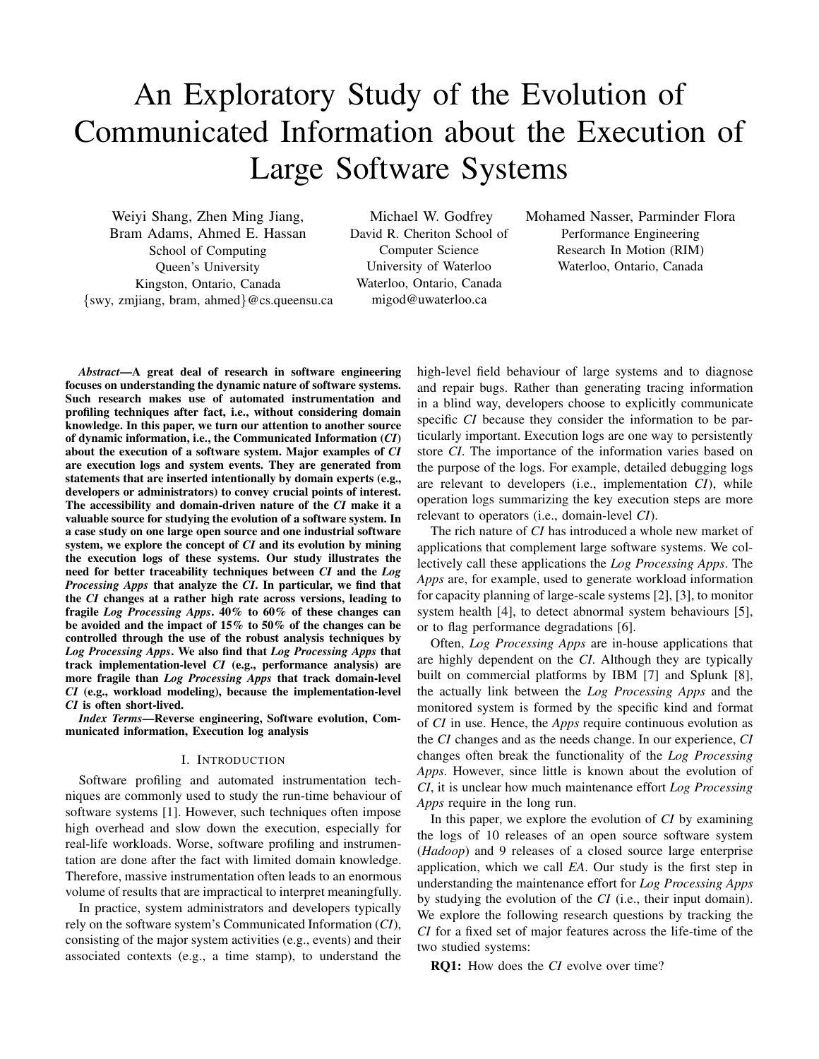# An Exploratory Study of the Evolution of Communicated Information about the Execution of Large Software Systems

Weiyi Shang, Zhen Ming Jiang, Bram Adams, Ahmed E. Hassan School of Computing Queen's University Kingston, Ontario, Canada *{*swy, zmjiang, bram, ahmed*}*@cs.queensu.ca

Michael W. Godfrey David R. Cheriton School of Computer Science University of Waterloo Waterloo, Ontario, Canada migod@uwaterloo.ca

Mohamed Nasser, Parminder Flora Performance Engineering Research In Motion (RIM) Waterloo, Ontario, Canada

*Abstract***—A great deal of research in software engineering focuses on understanding the dynamic nature of software systems. Such research makes use of automated instrumentation and profiling techniques after fact, i.e., without considering domain knowledge. In this paper, we turn our attention to another source of dynamic information, i.e., the Communicated Information (***CI***) about the execution of a software system. Major examples of** *CI* **are execution logs and system events. They are generated from statements that are inserted intentionally by domain experts (e.g., developers or administrators) to convey crucial points of interest. The accessibility and domain-driven nature of the** *CI* **make it a valuable source for studying the evolution of a software system. In a case study on one large open source and one industrial software system, we explore the concept of** *CI* **and its evolution by mining the execution logs of these systems. Our study illustrates the need for better traceability techniques between** *CI* **and the** *Log Processing Apps* **that analyze the** *CI***. In particular, we find that the** *CI* **changes at a rather high rate across versions, leading to fragile** *Log Processing Apps***. 40% to 60% of these changes can be avoided and the impact of 15% to 50% of the changes can be controlled through the use of the robust analysis techniques by** *Log Processing Apps***. We also find that** *Log Processing Apps* **that track implementation-level** *CI* **(e.g., performance analysis) are more fragile than** *Log Processing Apps* **that track domain-level** *CI* **(e.g., workload modeling), because the implementation-level** *CI* **is often short-lived.**

*Index Terms***—Reverse engineering, Software evolution, Communicated information, Execution log analysis**

#### I. INTRODUCTION

Software profiling and automated instrumentation techniques are commonly used to study the run-time behaviour of software systems [1]. However, such techniques often impose high overhead and slow down the execution, especially for real-life workloads. Worse, software profiling and instrumentation are done after the fact with limited domain knowledge. Therefore, massive instrumentation often leads to an enormous volume of results that are impractical to interpret meaningfully.

In practice, system administrators and developers typically rely on the software system's Communicated Information (*CI*), consisting of the major system activities (e.g., events) and their associated contexts (e.g., a time stamp), to understand the high-level field behaviour of large systems and to diagnose and repair bugs. Rather than generating tracing information in a blind way, developers choose to explicitly communicate specific *CI* because they consider the information to be particularly important. Execution logs are one way to persistently store *CI*. The importance of the information varies based on the purpose of the logs. For example, detailed debugging logs are relevant to developers (i.e., implementation *CI*), while operation logs summarizing the key execution steps are more relevant to operators (i.e., domain-level *CI*).

The rich nature of *CI* has introduced a whole new market of applications that complement large software systems. We collectively call these applications the *Log Processing Apps*. The *Apps* are, for example, used to generate workload information for capacity planning of large-scale systems [2], [3], to monitor system health [4], to detect abnormal system behaviours [5], or to flag performance degradations [6].

Often, *Log Processing Apps* are in-house applications that are highly dependent on the *CI*. Although they are typically built on commercial platforms by IBM [7] and Splunk [8], the actually link between the *Log Processing Apps* and the monitored system is formed by the specific kind and format of *CI* in use. Hence, the *Apps* require continuous evolution as the *CI* changes and as the needs change. In our experience, *CI* changes often break the functionality of the *Log Processing Apps*. However, since little is known about the evolution of *CI*, it is unclear how much maintenance effort *Log Processing Apps* require in the long run.

In this paper, we explore the evolution of *CI* by examining the logs of 10 releases of an open source software system (*Hadoop*) and 9 releases of a closed source large enterprise application, which we call *EA*. Our study is the first step in understanding the maintenance effort for *Log Processing Apps* by studying the evolution of the *CI* (i.e., their input domain). We explore the following research questions by tracking the *CI* for a fixed set of major features across the life-time of the two studied systems:

**RQ1:** How does the *CI* evolve over time?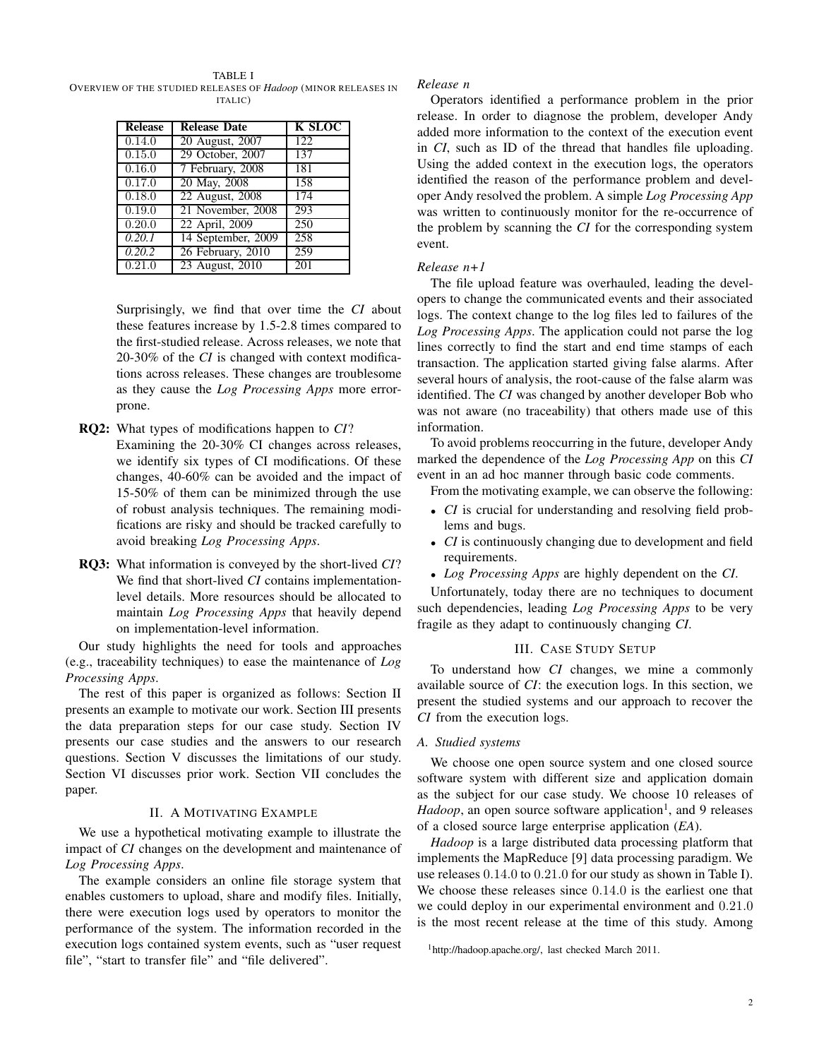TABLE I OVERVIEW OF THE STUDIED RELEASES OF *Hadoop* (MINOR RELEASES IN ITALIC)

| <b>Release</b> | <b>Release Date</b> | <b>K SLOC</b> |
|----------------|---------------------|---------------|
| 0.14.0         | 20 August, 2007     | 122           |
| 0.15.0         | 29 October, 2007    | 137           |
| 0.16.0         | 7 February, 2008    | 181           |
| 0.17.0         | 20 May, 2008        | 158           |
| 0.18.0         | 22 August, 2008     | 174           |
| 0.19.0         | 21 November, 2008   | 293           |
| 0.20.0         | 22 April, 2009      | 250           |
| 0.20.1         | 14 September, 2009  | 258           |
| 0.20.2         | 26 February, 2010   | 259           |
| 0.21.0         | 23 August, 2010     | 201           |

Surprisingly, we find that over time the *CI* about these features increase by 1.5-2.8 times compared to the first-studied release. Across releases, we note that 20-30% of the *CI* is changed with context modifications across releases. These changes are troublesome as they cause the *Log Processing Apps* more errorprone.

- **RQ2:** What types of modifications happen to *CI*?
	- Examining the 20-30% CI changes across releases, we identify six types of CI modifications. Of these changes, 40-60% can be avoided and the impact of 15-50% of them can be minimized through the use of robust analysis techniques. The remaining modifications are risky and should be tracked carefully to avoid breaking *Log Processing Apps*.
- **RQ3:** What information is conveyed by the short-lived *CI*? We find that short-lived *CI* contains implementationlevel details. More resources should be allocated to maintain *Log Processing Apps* that heavily depend on implementation-level information.

Our study highlights the need for tools and approaches (e.g., traceability techniques) to ease the maintenance of *Log Processing Apps*.

The rest of this paper is organized as follows: Section II presents an example to motivate our work. Section III presents the data preparation steps for our case study. Section IV presents our case studies and the answers to our research questions. Section V discusses the limitations of our study. Section VI discusses prior work. Section VII concludes the paper.

# II. A MOTIVATING EXAMPLE

We use a hypothetical motivating example to illustrate the impact of *CI* changes on the development and maintenance of *Log Processing Apps*.

The example considers an online file storage system that enables customers to upload, share and modify files. Initially, there were execution logs used by operators to monitor the performance of the system. The information recorded in the execution logs contained system events, such as "user request file", "start to transfer file" and "file delivered".

#### *Release n*

Operators identified a performance problem in the prior release. In order to diagnose the problem, developer Andy added more information to the context of the execution event in *CI*, such as ID of the thread that handles file uploading. Using the added context in the execution logs, the operators identified the reason of the performance problem and developer Andy resolved the problem. A simple *Log Processing App* was written to continuously monitor for the re-occurrence of the problem by scanning the *CI* for the corresponding system event.

#### *Release n+1*

The file upload feature was overhauled, leading the developers to change the communicated events and their associated logs. The context change to the log files led to failures of the *Log Processing Apps*. The application could not parse the log lines correctly to find the start and end time stamps of each transaction. The application started giving false alarms. After several hours of analysis, the root-cause of the false alarm was identified. The *CI* was changed by another developer Bob who was not aware (no traceability) that others made use of this information.

To avoid problems reoccurring in the future, developer Andy marked the dependence of the *Log Processing App* on this *CI* event in an ad hoc manner through basic code comments.

From the motivating example, we can observe the following:

- *• CI* is crucial for understanding and resolving field problems and bugs.
- *• CI* is continuously changing due to development and field requirements.
- *• Log Processing Apps* are highly dependent on the *CI*.

Unfortunately, today there are no techniques to document such dependencies, leading *Log Processing Apps* to be very fragile as they adapt to continuously changing *CI*.

#### III. CASE STUDY SETUP

To understand how *CI* changes, we mine a commonly available source of *CI*: the execution logs. In this section, we present the studied systems and our approach to recover the *CI* from the execution logs.

# *A. Studied systems*

We choose one open source system and one closed source software system with different size and application domain as the subject for our case study. We choose 10 releases of *Hadoop*, an open source software application<sup>1</sup>, and 9 releases of a closed source large enterprise application (*EA*).

*Hadoop* is a large distributed data processing platform that implements the MapReduce [9] data processing paradigm. We use releases 0*.*14*.*0 to 0*.*21*.*0 for our study as shown in Table I). We choose these releases since 0*.*14*.*0 is the earliest one that we could deploy in our experimental environment and 0*.*21*.*0 is the most recent release at the time of this study. Among

1http://hadoop.apache.org/, last checked March 2011.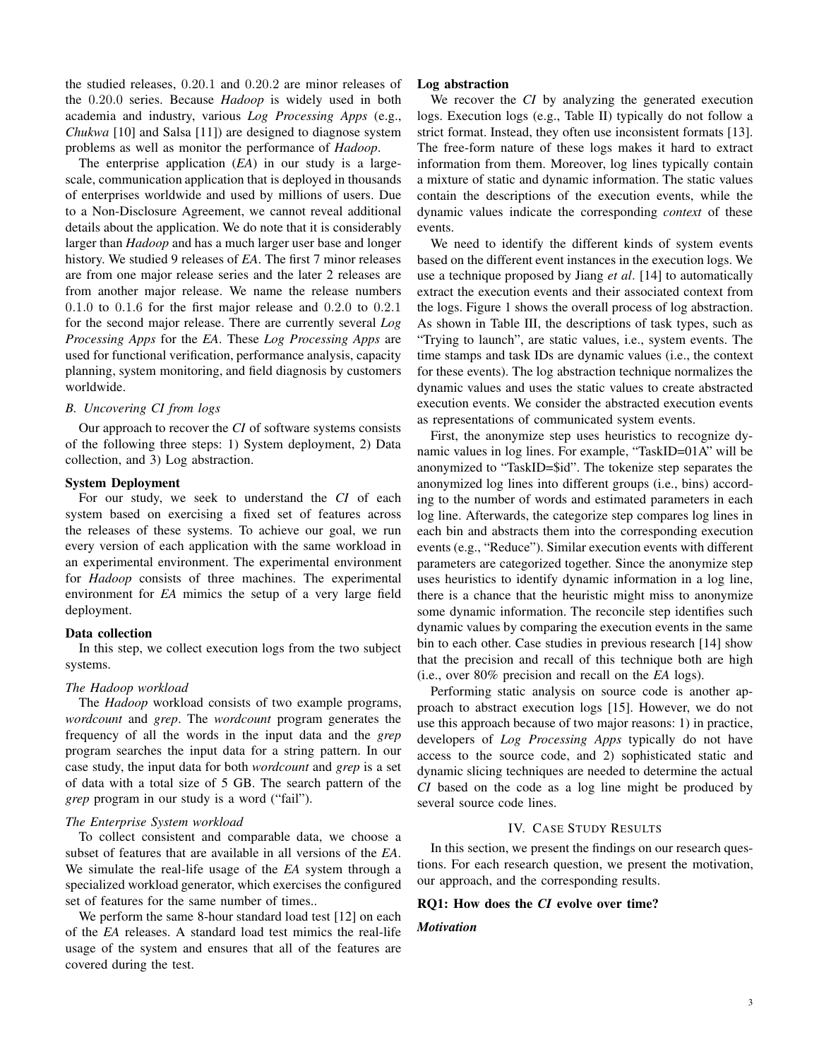the studied releases, 0*.*20*.*1 and 0*.*20*.*2 are minor releases of the 0*.*20*.*0 series. Because *Hadoop* is widely used in both academia and industry, various *Log Processing Apps* (e.g., *Chukwa* [10] and Salsa [11]) are designed to diagnose system problems as well as monitor the performance of *Hadoop*.

The enterprise application (*EA*) in our study is a largescale, communication application that is deployed in thousands of enterprises worldwide and used by millions of users. Due to a Non-Disclosure Agreement, we cannot reveal additional details about the application. We do note that it is considerably larger than *Hadoop* and has a much larger user base and longer history. We studied 9 releases of *EA*. The first 7 minor releases are from one major release series and the later 2 releases are from another major release. We name the release numbers 0*.*1*.*0 to 0*.*1*.*6 for the first major release and 0*.*2*.*0 to 0*.*2*.*1 for the second major release. There are currently several *Log Processing Apps* for the *EA*. These *Log Processing Apps* are used for functional verification, performance analysis, capacity planning, system monitoring, and field diagnosis by customers worldwide.

#### *B. Uncovering CI from logs*

Our approach to recover the *CI* of software systems consists of the following three steps: 1) System deployment, 2) Data collection, and 3) Log abstraction.

# **System Deployment**

For our study, we seek to understand the *CI* of each system based on exercising a fixed set of features across the releases of these systems. To achieve our goal, we run every version of each application with the same workload in an experimental environment. The experimental environment for *Hadoop* consists of three machines. The experimental environment for *EA* mimics the setup of a very large field deployment.

# **Data collection**

In this step, we collect execution logs from the two subject systems.

#### *The Hadoop workload*

The *Hadoop* workload consists of two example programs, *wordcount* and *grep*. The *wordcount* program generates the frequency of all the words in the input data and the *grep* program searches the input data for a string pattern. In our case study, the input data for both *wordcount* and *grep* is a set of data with a total size of 5 GB. The search pattern of the *grep* program in our study is a word ("fail").

#### *The Enterprise System workload*

To collect consistent and comparable data, we choose a subset of features that are available in all versions of the *EA*. We simulate the real-life usage of the *EA* system through a specialized workload generator, which exercises the configured set of features for the same number of times..

We perform the same 8-hour standard load test [12] on each of the *EA* releases. A standard load test mimics the real-life usage of the system and ensures that all of the features are covered during the test.

#### **Log abstraction**

We recover the *CI* by analyzing the generated execution logs. Execution logs (e.g., Table II) typically do not follow a strict format. Instead, they often use inconsistent formats [13]. The free-form nature of these logs makes it hard to extract information from them. Moreover, log lines typically contain a mixture of static and dynamic information. The static values contain the descriptions of the execution events, while the dynamic values indicate the corresponding *context* of these events.

We need to identify the different kinds of system events based on the different event instances in the execution logs. We use a technique proposed by Jiang *et al.* [14] to automatically extract the execution events and their associated context from the logs. Figure 1 shows the overall process of log abstraction. As shown in Table III, the descriptions of task types, such as "Trying to launch", are static values, i.e., system events. The time stamps and task IDs are dynamic values (i.e., the context for these events). The log abstraction technique normalizes the dynamic values and uses the static values to create abstracted execution events. We consider the abstracted execution events as representations of communicated system events.

First, the anonymize step uses heuristics to recognize dynamic values in log lines. For example, "TaskID=01A" will be anonymized to "TaskID=\$id". The tokenize step separates the anonymized log lines into different groups (i.e., bins) according to the number of words and estimated parameters in each log line. Afterwards, the categorize step compares log lines in each bin and abstracts them into the corresponding execution events (e.g., "Reduce"). Similar execution events with different parameters are categorized together. Since the anonymize step uses heuristics to identify dynamic information in a log line, there is a chance that the heuristic might miss to anonymize some dynamic information. The reconcile step identifies such dynamic values by comparing the execution events in the same bin to each other. Case studies in previous research [14] show that the precision and recall of this technique both are high (i.e., over 80% precision and recall on the *EA* logs).

Performing static analysis on source code is another approach to abstract execution logs [15]. However, we do not use this approach because of two major reasons: 1) in practice, developers of *Log Processing Apps* typically do not have access to the source code, and 2) sophisticated static and dynamic slicing techniques are needed to determine the actual *CI* based on the code as a log line might be produced by several source code lines.

#### IV. CASE STUDY RESULTS

In this section, we present the findings on our research questions. For each research question, we present the motivation, our approach, and the corresponding results.

# **RQ1: How does the** *CI* **evolve over time?**

# *Motivation*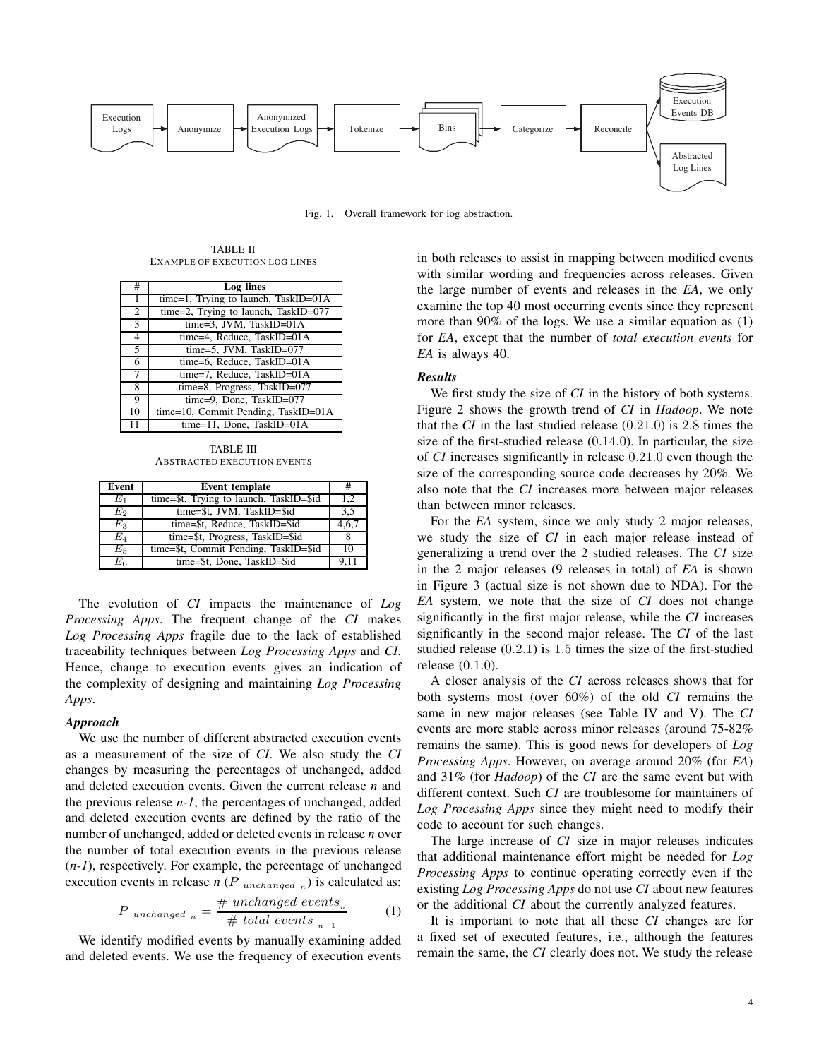

Fig. 1. Overall framework for log abstraction.

TABLE II EXAMPLE OF EXECUTION LOG LINES

| #  | Log lines                            |
|----|--------------------------------------|
|    | time=1, Trying to launch, TaskID=01A |
| 2  | time=2, Trying to launch, TaskID=077 |
| 3  | time=3, JVM, TaskID=01A              |
| 4  | time=4, Reduce, TaskID=01A           |
| 5  | time=5, JVM, TaskID=077              |
| 6  | time=6, Reduce, TaskID=01A           |
| 7  | time=7, Reduce, TaskID=01A           |
| 8  | time=8, Progress, TaskID=077         |
| 9  | time=9, Done, TaskID=077             |
| 10 | time=10, Commit Pending, TaskID=01A  |
| 11 | time=11, Done, TaskID=01A            |

TABLE III ABSTRACTED EXECUTION EVENTS

| Event | <b>Event</b> template                   |       |
|-------|-----------------------------------------|-------|
| $E_1$ | time=\$t, Trying to launch, TaskID=\$id | 1.2   |
| $E_2$ | time=\$t, JVM, TaskID=\$id              | 3.5   |
| $E_3$ | time=\$t, Reduce, TaskID=\$id           | 4.6.7 |
| $E_4$ | time=\$t, Progress, TaskID=\$id         |       |
| $E_5$ | time=\$t, Commit Pending, TaskID=\$id   | 10    |
| $E_6$ | time=\$t, Done, TaskID=\$id             | 9,11  |

The evolution of *CI* impacts the maintenance of *Log Processing Apps*. The frequent change of the *CI* makes *Log Processing Apps* fragile due to the lack of established traceability techniques between *Log Processing Apps* and *CI*. Hence, change to execution events gives an indication of the complexity of designing and maintaining *Log Processing Apps*.

# *Approach*

We use the number of different abstracted execution events as a measurement of the size of *CI*. We also study the *CI* changes by measuring the percentages of unchanged, added and deleted execution events. Given the current release *n* and the previous release *n-1*, the percentages of unchanged, added and deleted execution events are defined by the ratio of the number of unchanged, added or deleted events in release *n* over the number of total execution events in the previous release (*n-1*), respectively. For example, the percentage of unchanged execution events in release  $n(P_{unchanged n})$  is calculated as:

$$
P_{unchanged n} = \frac{\# unchanged events_n}{\# total events_{n-1}}
$$
 (1)

We identify modified events by manually examining added and deleted events. We use the frequency of execution events in both releases to assist in mapping between modified events with similar wording and frequencies across releases. Given the large number of events and releases in the *EA*, we only examine the top 40 most occurring events since they represent more than 90% of the logs. We use a similar equation as (1) for *EA*, except that the number of *total execution events* for *EA* is always 40.

# *Results*

We first study the size of *CI* in the history of both systems. Figure 2 shows the growth trend of *CI* in *Hadoop*. We note that the *CI* in the last studied release (0*.*21*.*0) is 2*.*8 times the size of the first-studied release (0*.*14*.*0). In particular, the size of *CI* increases significantly in release 0*.*21*.*0 even though the size of the corresponding source code decreases by 20%. We also note that the *CI* increases more between major releases than between minor releases.

For the *EA* system, since we only study 2 major releases, we study the size of *CI* in each major release instead of generalizing a trend over the 2 studied releases. The *CI* size in the 2 major releases (9 releases in total) of *EA* is shown in Figure 3 (actual size is not shown due to NDA). For the *EA* system, we note that the size of *CI* does not change significantly in the first major release, while the *CI* increases significantly in the second major release. The *CI* of the last studied release (0*.*2*.*1) is 1*.*5 times the size of the first-studied release (0*.*1*.*0).

A closer analysis of the *CI* across releases shows that for both systems most (over 60%) of the old *CI* remains the same in new major releases (see Table IV and V). The *CI* events are more stable across minor releases (around 75-82% remains the same). This is good news for developers of *Log Processing Apps*. However, on average around 20% (for *EA*) and 31% (for *Hadoop*) of the *CI* are the same event but with different context. Such *CI* are troublesome for maintainers of *Log Processing Apps* since they might need to modify their code to account for such changes.

The large increase of *CI* size in major releases indicates that additional maintenance effort might be needed for *Log Processing Apps* to continue operating correctly even if the existing *Log Processing Apps* do not use *CI* about new features or the additional *CI* about the currently analyzed features.

It is important to note that all these *CI* changes are for a fixed set of executed features, i.e., although the features remain the same, the *CI* clearly does not. We study the release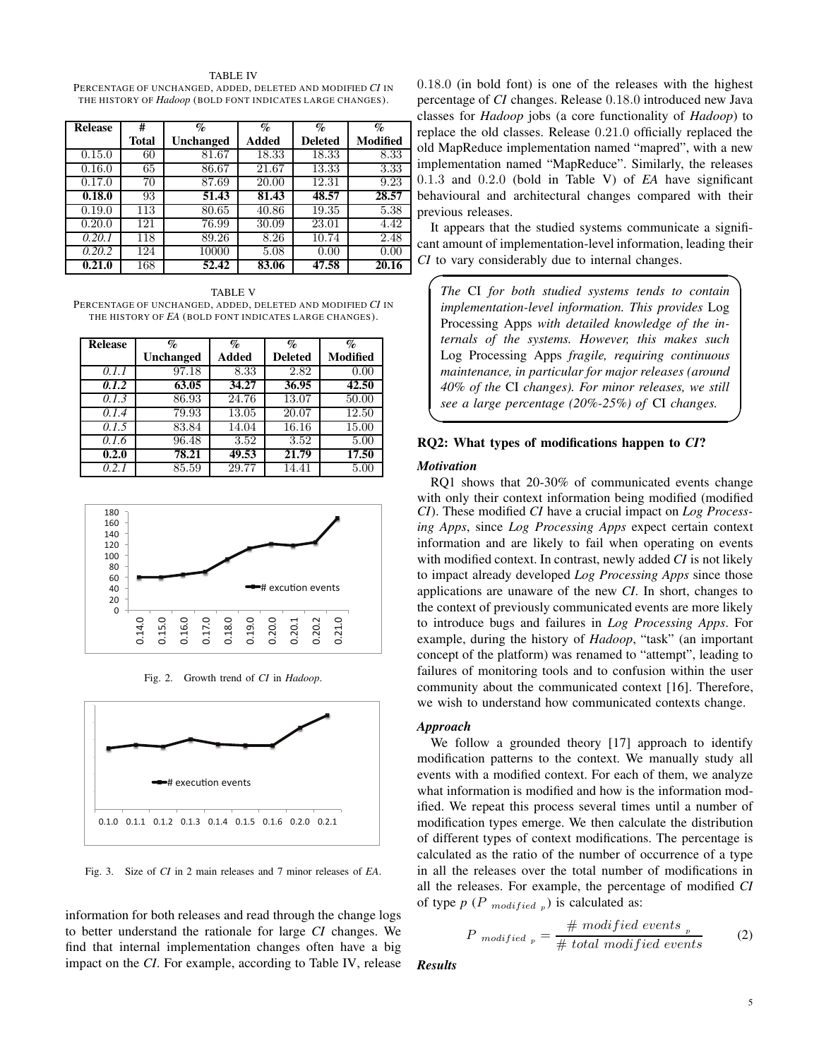TABLE IV PERCENTAGE OF UNCHANGED, ADDED, DELETED AND MODIFIED *CI* IN THE HISTORY OF *Hadoop* (BOLD FONT INDICATES LARGE CHANGES).

| <b>Release</b> | #     | $\%$             | $\%$         | $\%$           | $\%$     |
|----------------|-------|------------------|--------------|----------------|----------|
|                | Total | <b>Unchanged</b> | <b>Added</b> | <b>Deleted</b> | Modified |
| 0.15.0         | 60    | 81.67            | 18.33        | 18.33          | 8.33     |
| 0.16.0         | 65    | 86.67            | 21.67        | 13.33          | 3.33     |
| 0.17.0         | 70    | 87.69            | 20.00        | 12.31          | 9.23     |
| 0.18.0         | 93    | 51.43            | 81.43        | 48.57          | 28.57    |
| 0.19.0         | 113   | 80.65            | 40.86        | 19.35          | 5.38     |
| 0.20.0         | 121   | 76.99            | 30.09        | 23.01          | 4.42     |
| 0.20.1         | 118   | 89.26            | 8.26         | 10.74          | 2.48     |
| 0.20.2         | 124   | 10000            | 5.08         | 0.00           | 0.00     |
| 0.21.0         | 168   | 52.42            | 83.06        | 47.58          | 20.16    |

TABLE V PERCENTAGE OF UNCHANGED, ADDED, DELETED AND MODIFIED *CI* IN THE HISTORY OF *EA* (BOLD FONT INDICATES LARGE CHANGES).

| <b>Release</b> | $\%$             | $\%$  | $\%$           | $\%$            |
|----------------|------------------|-------|----------------|-----------------|
|                | <b>Unchanged</b> | Added | <b>Deleted</b> | <b>Modified</b> |
| 0.1.1          | 97.18            | 8.33  | 2.82           | 0.00            |
| 0.1.2          | 63.05            | 34.27 | 36.95          | 42.50           |
| 0.1.3          | 86.93            | 24.76 | 13.07          | 50.00           |
| 0.1.4          | 79.93            | 13.05 | 20.07          | 12.50           |
| 0.1.5          | 83.84            | 14.04 | 16.16          | 15.00           |
| 0.1.6          | 96.48            | 3.52  | 3.52           | 5.00            |
| 0.2.0          | 78.21            | 49.53 | 21.79          | 17.50           |
| 0.2.1          | 85.59            | 29.77 | 14.41          | 5.00            |



Fig. 2. Growth trend of *CI* in *Hadoop*.



Fig. 3. Size of *CI* in 2 main releases and 7 minor releases of *EA*.

information for both releases and read through the change logs to better understand the rationale for large *CI* changes. We find that internal implementation changes often have a big impact on the *CI*. For example, according to Table IV, release 0*.*18*.*0 (in bold font) is one of the releases with the highest percentage of *CI* changes. Release 0*.*18*.*0 introduced new Java classes for *Hadoop* jobs (a core functionality of *Hadoop*) to replace the old classes. Release 0*.*21*.*0 officially replaced the old MapReduce implementation named "mapred", with a new implementation named "MapReduce". Similarly, the releases 0*.*1*.*3 and 0*.*2*.*0 (bold in Table V) of *EA* have significant behavioural and architectural changes compared with their previous releases.

It appears that the studied systems communicate a significant amount of implementation-level information, leading their *CI* to vary considerably due to internal changes.

*The* CI *for both studied systems tends to contain implementation-level information. This provides* Log Processing Apps *with detailed knowledge of the internals of the systems. However, this makes such* Log Processing Apps *fragile, requiring continuous maintenance, in particular for major releases (around 40% of the* CI *changes). For minor releases, we still see a large percentage (20%-25%) of* CI *changes.*

# **RQ2: What types of modifications happen to** *CI***?**

#### *Motivation*

**</u>** 

**✓**

RQ1 shows that 20-30% of communicated events change with only their context information being modified (modified *CI*). These modified *CI* have a crucial impact on *Log Processing Apps*, since *Log Processing Apps* expect certain context information and are likely to fail when operating on events with modified context. In contrast, newly added *CI* is not likely to impact already developed *Log Processing Apps* since those applications are unaware of the new *CI*. In short, changes to the context of previously communicated events are more likely to introduce bugs and failures in *Log Processing Apps*. For example, during the history of *Hadoop*, "task" (an important concept of the platform) was renamed to "attempt", leading to failures of monitoring tools and to confusion within the user community about the communicated context [16]. Therefore, we wish to understand how communicated contexts change.

# *Approach*

We follow a grounded theory [17] approach to identify modification patterns to the context. We manually study all events with a modified context. For each of them, we analyze what information is modified and how is the information modified. We repeat this process several times until a number of modification types emerge. We then calculate the distribution of different types of context modifications. The percentage is calculated as the ratio of the number of occurrence of a type in all the releases over the total number of modifications in all the releases. For example, the percentage of modified *CI* of type  $p$  ( $P$   $_{modified}$ <sub> $p$ </sub>) is calculated as:

$$
P_{modified_p} = \frac{\# \ modified \ events_p}{\# \ total \ modified \ events} \tag{2}
$$

*Results*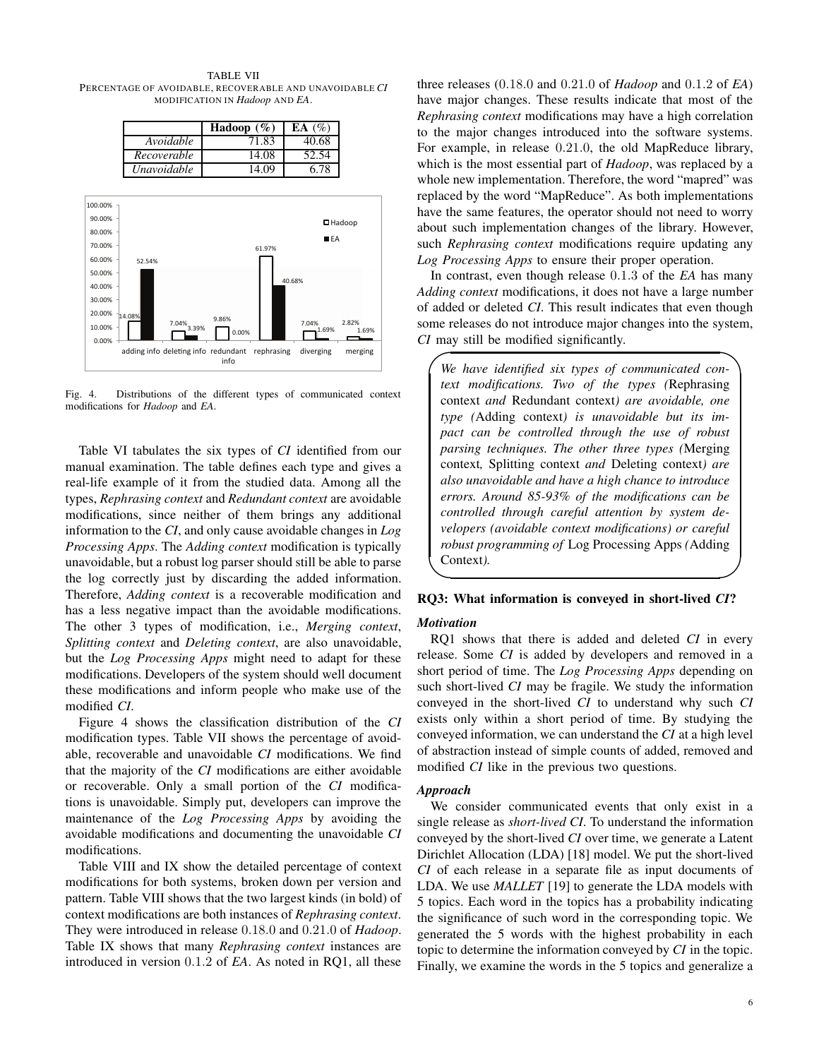TABLE VII PERCENTAGE OF AVOIDABLE, RECOVERABLE AND UNAVOIDABLE *CI* MODIFICATION IN *Hadoop* AND *EA*.

|             | Hadoop $(\% )$ | EA $(\%)$ |
|-------------|----------------|-----------|
| Avoidable   | 71.83          | 40.68     |
| Recoverable | 14.08          | 52.54     |
| Unavoidable | 14.09          | 6.78      |



Fig. 4. Distributions of the different types of communicated context modifications for *Hadoop* and *EA*.

Table VI tabulates the six types of *CI* identified from our manual examination. The table defines each type and gives a real-life example of it from the studied data. Among all the types, *Rephrasing context* and *Redundant context* are avoidable modifications, since neither of them brings any additional information to the *CI*, and only cause avoidable changes in *Log Processing Apps*. The *Adding context* modification is typically unavoidable, but a robust log parser should still be able to parse the log correctly just by discarding the added information. Therefore, *Adding context* is a recoverable modification and has a less negative impact than the avoidable modifications. The other 3 types of modification, i.e., *Merging context*, *Splitting context* and *Deleting context*, are also unavoidable, but the *Log Processing Apps* might need to adapt for these modifications. Developers of the system should well document these modifications and inform people who make use of the modified *CI*.

Figure 4 shows the classification distribution of the *CI* modification types. Table VII shows the percentage of avoidable, recoverable and unavoidable *CI* modifications. We find that the majority of the *CI* modifications are either avoidable or recoverable. Only a small portion of the *CI* modifications is unavoidable. Simply put, developers can improve the maintenance of the *Log Processing Apps* by avoiding the avoidable modifications and documenting the unavoidable *CI* modifications.

Table VIII and IX show the detailed percentage of context modifications for both systems, broken down per version and pattern. Table VIII shows that the two largest kinds (in bold) of context modifications are both instances of *Rephrasing context*. They were introduced in release 0*.*18*.*0 and 0*.*21*.*0 of *Hadoop*. Table IX shows that many *Rephrasing context* instances are introduced in version 0*.*1*.*2 of *EA*. As noted in RQ1, all these

three releases (0*.*18*.*0 and 0*.*21*.*0 of *Hadoop* and 0*.*1*.*2 of *EA*) have major changes. These results indicate that most of the *Rephrasing context* modifications may have a high correlation to the major changes introduced into the software systems. For example, in release 0*.*21*.*0, the old MapReduce library, which is the most essential part of *Hadoop*, was replaced by a whole new implementation. Therefore, the word "mapred" was replaced by the word "MapReduce". As both implementations have the same features, the operator should not need to worry about such implementation changes of the library. However, such *Rephrasing context* modifications require updating any *Log Processing Apps* to ensure their proper operation.

In contrast, even though release 0*.*1*.*3 of the *EA* has many *Adding context* modifications, it does not have a large number of added or deleted *CI*. This result indicates that even though some releases do not introduce major changes into the system, *CI* may still be modified significantly. **✤**

*We have identified six types of communicated context modifications. Two of the types (*Rephrasing context *and* Redundant context*) are avoidable, one type (*Adding context*) is unavoidable but its impact can be controlled through the use of robust parsing techniques. The other three types (*Merging context*,* Splitting context *and* Deleting context*) are also unavoidable and have a high chance to introduce errors. Around 85-93% of the modifications can be controlled through careful attention by system developers (avoidable context modifications) or careful robust programming of* Log Processing Apps *(*Adding Context*).*

# **RQ3: What information is conveyed in short-lived** *CI***?**

# *Motivation*

**✣**

RQ1 shows that there is added and deleted *CI* in every release. Some *CI* is added by developers and removed in a short period of time. The *Log Processing Apps* depending on such short-lived *CI* may be fragile. We study the information conveyed in the short-lived *CI* to understand why such *CI* exists only within a short period of time. By studying the conveyed information, we can understand the *CI* at a high level of abstraction instead of simple counts of added, removed and modified *CI* like in the previous two questions.

#### *Approach*

We consider communicated events that only exist in a single release as *short-lived CI*. To understand the information conveyed by the short-lived *CI* over time, we generate a Latent Dirichlet Allocation (LDA) [18] model. We put the short-lived *CI* of each release in a separate file as input documents of LDA. We use *MALLET* [19] to generate the LDA models with 5 topics. Each word in the topics has a probability indicating the significance of such word in the corresponding topic. We generated the 5 words with the highest probability in each topic to determine the information conveyed by *CI* in the topic. Finally, we examine the words in the 5 topics and generalize a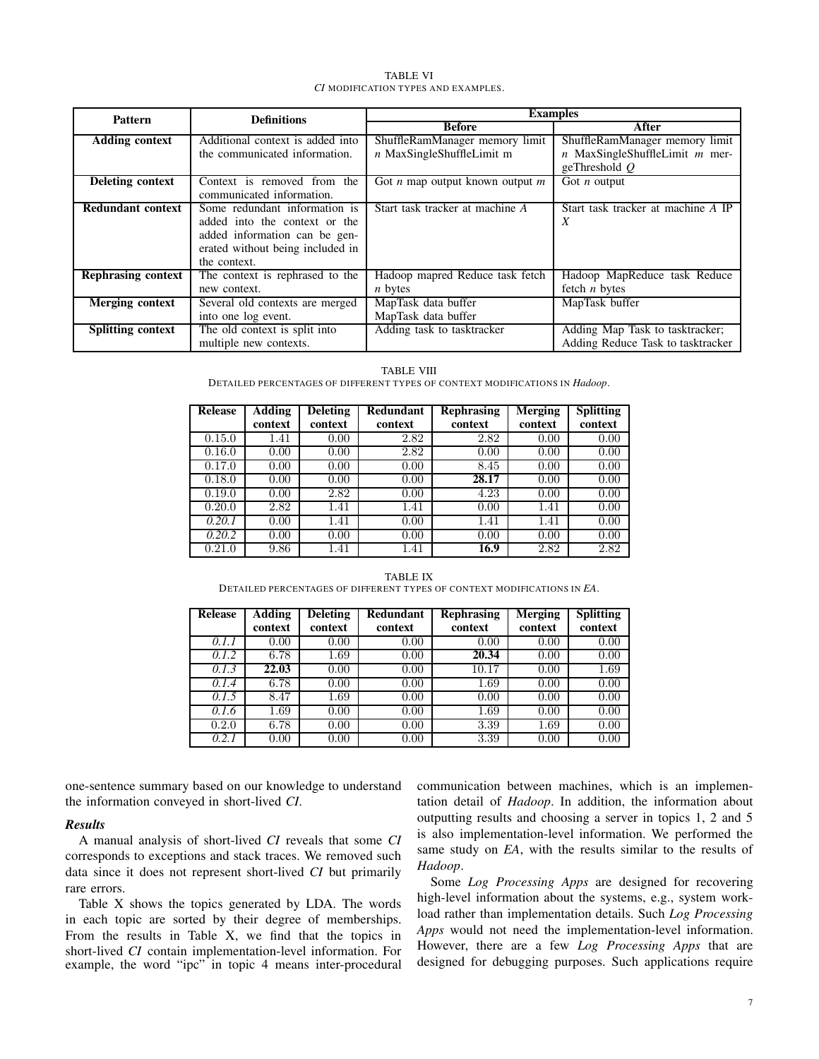| <b>TABLE VI</b>                     |  |
|-------------------------------------|--|
| CI MODIFICATION TYPES AND EXAMPLES. |  |

| <b>Pattern</b>            | <b>Definitions</b>               | <b>Examples</b>                     |                                    |  |
|---------------------------|----------------------------------|-------------------------------------|------------------------------------|--|
|                           |                                  | <b>Before</b>                       | After                              |  |
| <b>Adding context</b>     | Additional context is added into | ShuffleRamManager memory limit      | ShuffleRamManager memory limit     |  |
|                           | the communicated information.    | $n$ MaxSingleShuffleLimit m         | $n$ MaxSingleShuffleLimit $m$ mer- |  |
|                           |                                  |                                     | geThreshold $Q$                    |  |
| Deleting context          | Context is removed from the      | Got $n$ map output known output $m$ | Got $n$ output                     |  |
|                           | communicated information.        |                                     |                                    |  |
| <b>Redundant context</b>  | Some redundant information is    | Start task tracker at machine A     | Start task tracker at machine A IP |  |
|                           | added into the context or the    |                                     | Χ                                  |  |
|                           | added information can be gen-    |                                     |                                    |  |
|                           | erated without being included in |                                     |                                    |  |
|                           | the context.                     |                                     |                                    |  |
| <b>Rephrasing context</b> | The context is rephrased to the  | Hadoop mapred Reduce task fetch     | Hadoop MapReduce task Reduce       |  |
|                           | new context.                     | <i>n</i> bytes                      | fetch $n$ bytes                    |  |
| Merging context           | Several old contexts are merged  | MapTask data buffer                 | MapTask buffer                     |  |
|                           | into one log event.              | MapTask data buffer                 |                                    |  |
| Splitting context         | The old context is split into    | Adding task to tasktracker          | Adding Map Task to tasktracker;    |  |
|                           | multiple new contexts.           |                                     | Adding Reduce Task to tasktracker  |  |

TABLE VIII DETAILED PERCENTAGES OF DIFFERENT TYPES OF CONTEXT MODIFICATIONS IN *Hadoop*.

| Release | <b>Adding</b> | <b>Deleting</b> | Redundant | <b>Rephrasing</b> | <b>Merging</b> | <b>Splitting</b> |
|---------|---------------|-----------------|-----------|-------------------|----------------|------------------|
|         | context       | context         | context   | context           | context        | context          |
| 0.15.0  | 1.41          | 0.00            | 2.82      | 2.82              | 0.00           | 0.00             |
| 0.16.0  | 0.00          | 0.00            | 2.82      | 0.00              | 0.00           | 0.00             |
| 0.17.0  | 0.00          | 0.00            | 0.00      | 8.45              | 0.00           | 0.00             |
| 0.18.0  | 0.00          | 0.00            | 0.00      | 28.17             | 0.00           | 0.00             |
| 0.19.0  | 0.00          | 2.82            | 0.00      | 4.23              | 0.00           | 0.00             |
| 0.20.0  | 2.82          | 1.41            | 1.41      | 0.00              | 1.41           | 0.00             |
| 0.20.1  | 0.00          | 1.41            | 0.00      | 1.41              | 1.41           | 0.00             |
| 0.20.2  | 0.00          | 0.00            | 0.00      | 0.00              | 0.00           | 0.00             |
| 0.21.0  | 9.86          | 1.41            | 1.41      | 16.9              | 2.82           | 2.82             |

TABLE IX DETAILED PERCENTAGES OF DIFFERENT TYPES OF CONTEXT MODIFICATIONS IN *EA*.

| <b>Release</b> | <b>Adding</b> | <b>Deleting</b> | Redundant | <b>Rephrasing</b> | Merging | <b>Splitting</b> |
|----------------|---------------|-----------------|-----------|-------------------|---------|------------------|
|                | context       | context         | context   | context           | context | context          |
| 0.1.1          | 0.00          | 0.00            | 0.00      | 0.00              | 0.00    | 0.00             |
| 0.1.2          | 6.78          | 1.69            | 0.00      | 20.34             | 0.00    | 0.00             |
| 0.1.3          | 22.03         | 0.00            | 0.00      | 10.17             | 0.00    | 1.69             |
| 0.1.4          | 6.78          | 0.00            | 0.00      | 1.69              | 0.00    | 0.00             |
| 0.1.5          | 8.47          | 1.69            | 0.00      | 0.00              | 0.00    | 0.00             |
| 0.1.6          | 1.69          | 0.00            | 0.00      | 1.69              | 0.00    | 0.00             |
| 0.2.0          | 6.78          | 0.00            | 0.00      | 3.39              | 1.69    | 0.00             |
| 0.2.1          | 0.00          | 0.00            | 0.00      | 3.39              | 0.00    | 0.00             |

one-sentence summary based on our knowledge to understand the information conveyed in short-lived *CI*.

#### *Results*

A manual analysis of short-lived *CI* reveals that some *CI* corresponds to exceptions and stack traces. We removed such data since it does not represent short-lived *CI* but primarily rare errors.

Table X shows the topics generated by LDA. The words in each topic are sorted by their degree of memberships. From the results in Table X, we find that the topics in short-lived *CI* contain implementation-level information. For example, the word "ipc" in topic 4 means inter-procedural communication between machines, which is an implementation detail of *Hadoop*. In addition, the information about outputting results and choosing a server in topics 1, 2 and 5 is also implementation-level information. We performed the same study on *EA*, with the results similar to the results of *Hadoop*.

Some *Log Processing Apps* are designed for recovering high-level information about the systems, e.g., system workload rather than implementation details. Such *Log Processing Apps* would not need the implementation-level information. However, there are a few *Log Processing Apps* that are designed for debugging purposes. Such applications require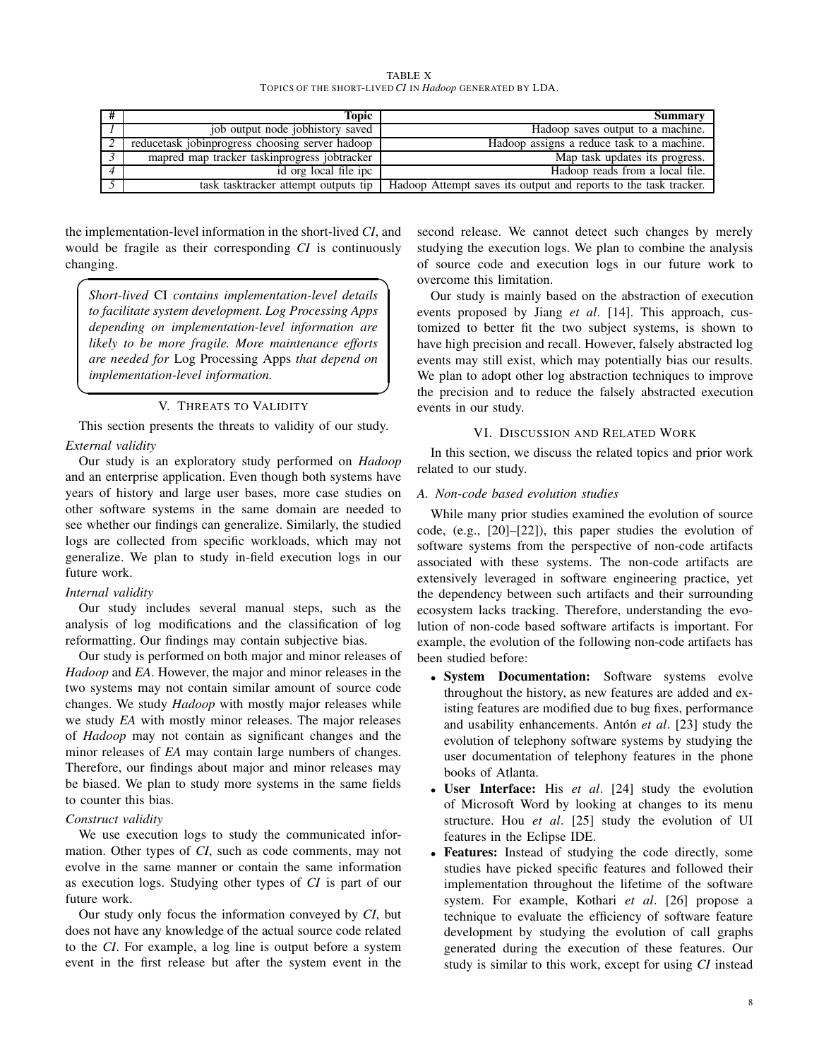TABLE X TOPICS OF THE SHORT-LIVED *CI* IN *Hadoop* GENERATED BY LDA.

| # | Topic                                           | Summary                                                          |
|---|-------------------------------------------------|------------------------------------------------------------------|
|   | job output node jobhistory saved                | Hadoop saves output to a machine.                                |
|   | reducetask jobinprogress choosing server hadoop | Hadoop assigns a reduce task to a machine.                       |
|   | mapred map tracker taskin progress jobtracker   | Map task updates its progress.                                   |
|   | id org local file ipc                           | Hadoop reads from a local file.                                  |
|   | task tasktracker attempt outputs tip            | Hadoop Attempt saves its output and reports to the task tracker. |

the implementation-level information in the short-lived *CI*, and would be fragile as their corresponding *CI* is continuously changing.

*Short-lived* CI *contains implementation-level details to facilitate system development. Log Processing Apps depending on implementation-level information are likely to be more fragile. More maintenance efforts are needed for* Log Processing Apps *that depend on implementation-level information.*

# V. THREATS TO VALIDITY

This section presents the threats to validity of our study.

# *External validity*

**✎**

**✍**

Our study is an exploratory study performed on *Hadoop* and an enterprise application. Even though both systems have years of history and large user bases, more case studies on other software systems in the same domain are needed to see whether our findings can generalize. Similarly, the studied logs are collected from specific workloads, which may not generalize. We plan to study in-field execution logs in our future work.

# *Internal validity*

Our study includes several manual steps, such as the analysis of log modifications and the classification of log reformatting. Our findings may contain subjective bias.

Our study is performed on both major and minor releases of *Hadoop* and *EA*. However, the major and minor releases in the two systems may not contain similar amount of source code changes. We study *Hadoop* with mostly major releases while we study *EA* with mostly minor releases. The major releases of *Hadoop* may not contain as significant changes and the minor releases of *EA* may contain large numbers of changes. Therefore, our findings about major and minor releases may be biased. We plan to study more systems in the same fields to counter this bias.

# *Construct validity*

We use execution logs to study the communicated information. Other types of *CI*, such as code comments, may not evolve in the same manner or contain the same information as execution logs. Studying other types of *CI* is part of our future work.

Our study only focus the information conveyed by *CI*, but does not have any knowledge of the actual source code related to the *CI*. For example, a log line is output before a system event in the first release but after the system event in the second release. We cannot detect such changes by merely studying the execution logs. We plan to combine the analysis of source code and execution logs in our future work to overcome this limitation.

Our study is mainly based on the abstraction of execution events proposed by Jiang *et al.* [14]. This approach, customized to better fit the two subject systems, is shown to have high precision and recall. However, falsely abstracted log events may still exist, which may potentially bias our results. We plan to adopt other log abstraction techniques to improve the precision and to reduce the falsely abstracted execution events in our study.

#### VI. DISCUSSION AND RELATED WORK

In this section, we discuss the related topics and prior work related to our study.

# *A. Non-code based evolution studies*

While many prior studies examined the evolution of source code, (e.g., [20]–[22]), this paper studies the evolution of software systems from the perspective of non-code artifacts associated with these systems. The non-code artifacts are extensively leveraged in software engineering practice, yet the dependency between such artifacts and their surrounding ecosystem lacks tracking. Therefore, understanding the evolution of non-code based software artifacts is important. For example, the evolution of the following non-code artifacts has been studied before:

- *•* **System Documentation:** Software systems evolve throughout the history, as new features are added and existing features are modified due to bug fixes, performance and usability enhancements. Antón *et al.* [23] study the evolution of telephony software systems by studying the user documentation of telephony features in the phone books of Atlanta.
- *•* **User Interface:** His *et al.* [24] study the evolution of Microsoft Word by looking at changes to its menu structure. Hou *et al.* [25] study the evolution of UI features in the Eclipse IDE.
- *•* **Features:** Instead of studying the code directly, some studies have picked specific features and followed their implementation throughout the lifetime of the software system. For example, Kothari *et al.* [26] propose a technique to evaluate the efficiency of software feature development by studying the evolution of call graphs generated during the execution of these features. Our study is similar to this work, except for using *CI* instead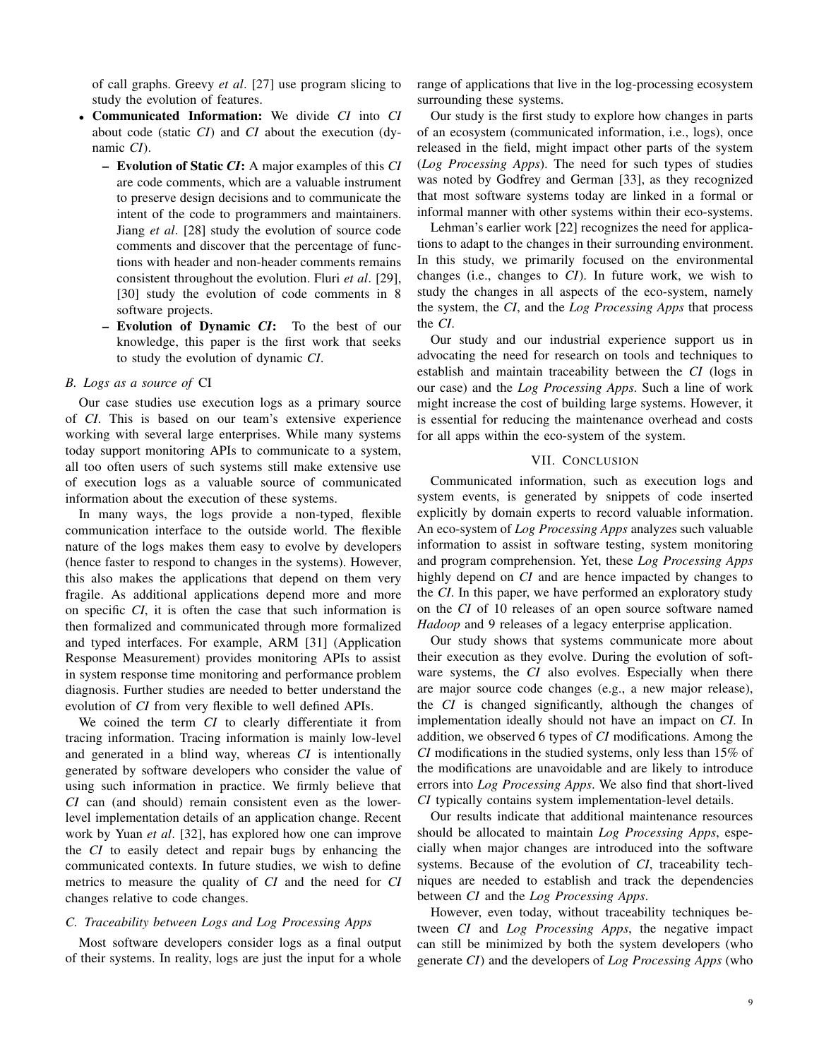of call graphs. Greevy *et al.* [27] use program slicing to study the evolution of features.

- *•* **Communicated Information:** We divide *CI* into *CI* about code (static *CI*) and *CI* about the execution (dynamic *CI*).
	- **Evolution of Static** *CI***:** A major examples of this *CI* are code comments, which are a valuable instrument to preserve design decisions and to communicate the intent of the code to programmers and maintainers. Jiang *et al.* [28] study the evolution of source code comments and discover that the percentage of functions with header and non-header comments remains consistent throughout the evolution. Fluri *et al.* [29], [30] study the evolution of code comments in 8 software projects.
	- **Evolution of Dynamic** *CI***:** To the best of our knowledge, this paper is the first work that seeks to study the evolution of dynamic *CI*.

# *B. Logs as a source of* CI

Our case studies use execution logs as a primary source of *CI*. This is based on our team's extensive experience working with several large enterprises. While many systems today support monitoring APIs to communicate to a system, all too often users of such systems still make extensive use of execution logs as a valuable source of communicated information about the execution of these systems.

In many ways, the logs provide a non-typed, flexible communication interface to the outside world. The flexible nature of the logs makes them easy to evolve by developers (hence faster to respond to changes in the systems). However, this also makes the applications that depend on them very fragile. As additional applications depend more and more on specific *CI*, it is often the case that such information is then formalized and communicated through more formalized and typed interfaces. For example, ARM [31] (Application Response Measurement) provides monitoring APIs to assist in system response time monitoring and performance problem diagnosis. Further studies are needed to better understand the evolution of *CI* from very flexible to well defined APIs.

We coined the term *CI* to clearly differentiate it from tracing information. Tracing information is mainly low-level and generated in a blind way, whereas *CI* is intentionally generated by software developers who consider the value of using such information in practice. We firmly believe that *CI* can (and should) remain consistent even as the lowerlevel implementation details of an application change. Recent work by Yuan *et al.* [32], has explored how one can improve the *CI* to easily detect and repair bugs by enhancing the communicated contexts. In future studies, we wish to define metrics to measure the quality of *CI* and the need for *CI* changes relative to code changes.

# *C. Traceability between Logs and Log Processing Apps*

Most software developers consider logs as a final output of their systems. In reality, logs are just the input for a whole

range of applications that live in the log-processing ecosystem surrounding these systems.

Our study is the first study to explore how changes in parts of an ecosystem (communicated information, i.e., logs), once released in the field, might impact other parts of the system (*Log Processing Apps*). The need for such types of studies was noted by Godfrey and German [33], as they recognized that most software systems today are linked in a formal or informal manner with other systems within their eco-systems.

Lehman's earlier work [22] recognizes the need for applications to adapt to the changes in their surrounding environment. In this study, we primarily focused on the environmental changes (i.e., changes to *CI*). In future work, we wish to study the changes in all aspects of the eco-system, namely the system, the *CI*, and the *Log Processing Apps* that process the *CI*.

Our study and our industrial experience support us in advocating the need for research on tools and techniques to establish and maintain traceability between the *CI* (logs in our case) and the *Log Processing Apps*. Such a line of work might increase the cost of building large systems. However, it is essential for reducing the maintenance overhead and costs for all apps within the eco-system of the system.

#### VII. CONCLUSION

Communicated information, such as execution logs and system events, is generated by snippets of code inserted explicitly by domain experts to record valuable information. An eco-system of *Log Processing Apps* analyzes such valuable information to assist in software testing, system monitoring and program comprehension. Yet, these *Log Processing Apps* highly depend on *CI* and are hence impacted by changes to the *CI*. In this paper, we have performed an exploratory study on the *CI* of 10 releases of an open source software named *Hadoop* and 9 releases of a legacy enterprise application.

Our study shows that systems communicate more about their execution as they evolve. During the evolution of software systems, the *CI* also evolves. Especially when there are major source code changes (e.g., a new major release), the *CI* is changed significantly, although the changes of implementation ideally should not have an impact on *CI*. In addition, we observed 6 types of *CI* modifications. Among the *CI* modifications in the studied systems, only less than 15% of the modifications are unavoidable and are likely to introduce errors into *Log Processing Apps*. We also find that short-lived *CI* typically contains system implementation-level details.

Our results indicate that additional maintenance resources should be allocated to maintain *Log Processing Apps*, especially when major changes are introduced into the software systems. Because of the evolution of *CI*, traceability techniques are needed to establish and track the dependencies between *CI* and the *Log Processing Apps*.

However, even today, without traceability techniques between *CI* and *Log Processing Apps*, the negative impact can still be minimized by both the system developers (who generate *CI*) and the developers of *Log Processing Apps* (who